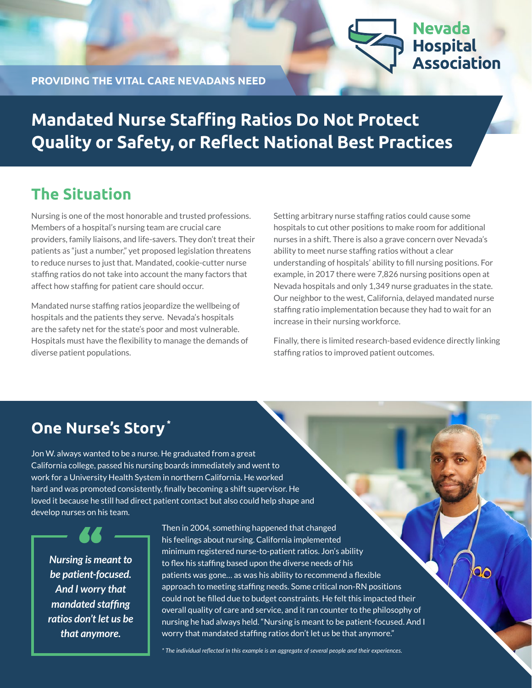

**Nevada** 

**PROVIDING THE VITAL CARE NEVADANS NEED**

# **Mandated Nurse Staffing Ratios Do Not Protect Quality or Safety, or Reflect National Best Practices**

#### **The Situation**

Nursing is one of the most honorable and trusted professions. Members of a hospital's nursing team are crucial care providers, family liaisons, and life-savers. They don't treat their patients as "just a number," yet proposed legislation threatens to reduce nurses to just that. Mandated, cookie-cutter nurse staffing ratios do not take into account the many factors that affect how staffing for patient care should occur.

Mandated nurse staffing ratios jeopardize the wellbeing of hospitals and the patients they serve. Nevada's hospitals are the safety net for the state's poor and most vulnerable. Hospitals must have the flexibility to manage the demands of diverse patient populations.

Setting arbitrary nurse staffing ratios could cause some hospitals to cut other positions to make room for additional nurses in a shift. There is also a grave concern over Nevada's ability to meet nurse staffing ratios without a clear understanding of hospitals' ability to fill nursing positions. For example, in 2017 there were 7,826 nursing positions open at Nevada hospitals and only 1,349 nurse graduates in the state. Our neighbor to the west, California, delayed mandated nurse staffing ratio implementation because they had to wait for an increase in their nursing workforce.

Finally, there is limited research-based evidence directly linking staffing ratios to improved patient outcomes.

۹o

# **One Nurse's Story\***

Jon W. always wanted to be a nurse. He graduated from a great California college, passed his nursing boards immediately and went to work for a University Health System in northern California. He worked hard and was promoted consistently, finally becoming a shift supervisor. He loved it because he still had direct patient contact but also could help shape and develop nurses on his team.

*Nursing is meant to be patient-focused. And I worry that mandated staffing ratios don't let us be that anymore.*

Then in 2004, something happened that changed his feelings about nursing. California implemented minimum registered nurse-to-patient ratios. Jon's ability to flex his staffing based upon the diverse needs of his patients was gone… as was his ability to recommend a flexible approach to meeting staffing needs. Some critical non-RN positions could not be filled due to budget constraints. He felt this impacted their overall quality of care and service, and it ran counter to the philosophy of nursing he had always held. "Nursing is meant to be patient-focused. And I worry that mandated staffing ratios don't let us be that anymore."

*\* The individual reflected in this example is an aggregate of several people and their experiences.*